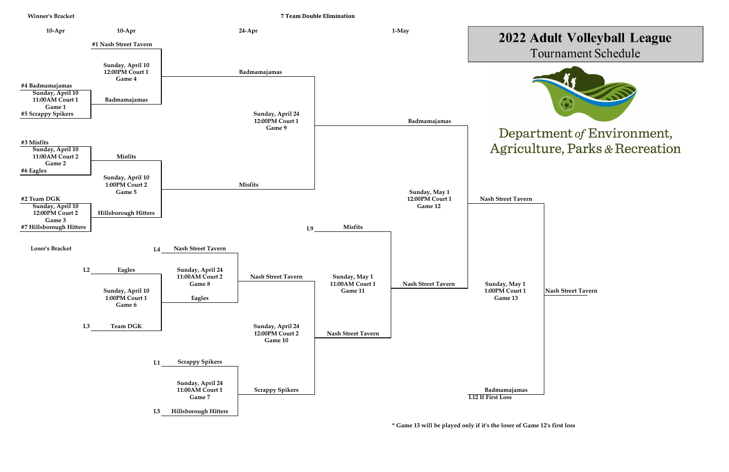

**\* Game 13 will be played only if it's the loser of Game 12's first loss**